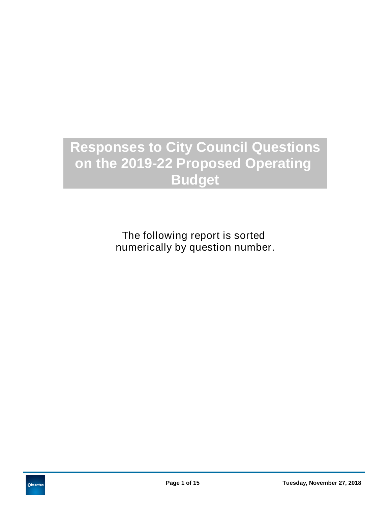## **Responses to City Council Questions on the 2019-22 Proposed Operating Budget**

The following report is sorted numerically by question number.

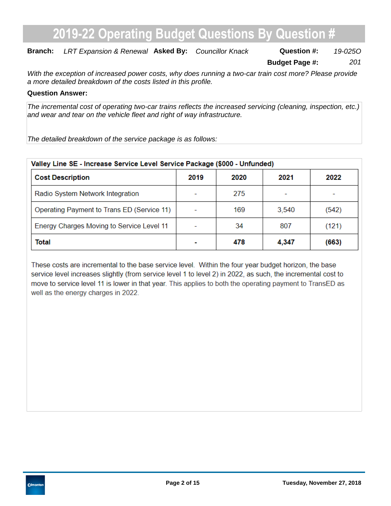### **Branch:** LRT Expansion & Renewal Asked By: Councillor Knack **Question #:** 19-0250

**Budget Page #:** *201*

*With the exception of increased power costs, why does running a two-car train cost more? Please provide a more detailed breakdown of the costs listed in this profile.*

#### **Question Answer:**

*The incremental cost of operating two-car trains reflects the increased servicing (cleaning, inspection, etc.) and wear and tear on the vehicle fleet and right of way infrastructure.*

*The detailed breakdown of the service package is as follows:*

| Valley Line SE - Increase Service Level Service Package (\$000 - Unfunded) |      |      |       |       |  |  |  |  |
|----------------------------------------------------------------------------|------|------|-------|-------|--|--|--|--|
| <b>Cost Description</b>                                                    | 2019 | 2020 | 2021  | 2022  |  |  |  |  |
| Radio System Network Integration                                           |      | 275  |       |       |  |  |  |  |
| Operating Payment to Trans ED (Service 11)                                 |      | 169  | 3,540 | (542) |  |  |  |  |
| Energy Charges Moving to Service Level 11                                  |      | 34   | 807   | (121) |  |  |  |  |
| <b>Total</b>                                                               |      | 478  | 4,347 | (663) |  |  |  |  |

These costs are incremental to the base service level. Within the four year budget horizon, the base service level increases slightly (from service level 1 to level 2) in 2022, as such, the incremental cost to move to service level 11 is lower in that year. This applies to both the operating payment to TransED as well as the energy charges in 2022.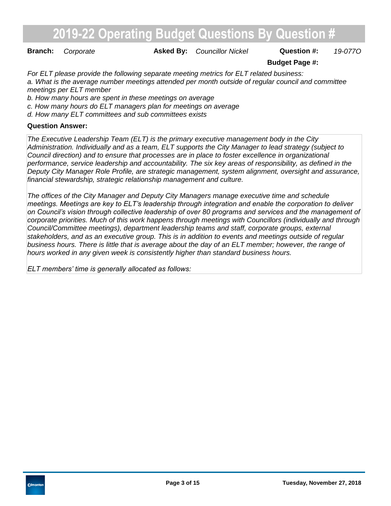**Branch:** Corporate **Asked By:** Councillor Nickel **Question #:** 19-0770

#### **Budget Page #:**

*For ELT please provide the following separate meeting metrics for ELT related business: a. What is the average number meetings attended per month outside of regular council and committee meetings per ELT member*

*b. How many hours are spent in these meetings on average*

*c. How many hours do ELT managers plan for meetings on average*

*d. How many ELT committees and sub committees exists*

#### **Question Answer:**

*The Executive Leadership Team (ELT) is the primary executive management body in the City Administration. Individually and as a team, ELT supports the City Manager to lead strategy (subject to Council direction) and to ensure that processes are in place to foster excellence in organizational performance, service leadership and accountability. The six key areas of responsibility, as defined in the Deputy City Manager Role Profile, are strategic management, system alignment, oversight and assurance, financial stewardship, strategic relationship management and culture.* 

*The offices of the City Manager and Deputy City Managers manage executive time and schedule meetings. Meetings are key to ELT's leadership through integration and enable the corporation to deliver on Council's vision through collective leadership of over 80 programs and services and the management of corporate priorities. Much of this work happens through meetings with Councillors (individually and through Council/Committee meetings), department leadership teams and staff, corporate groups, external stakeholders, and as an executive group. This is in addition to events and meetings outside of regular business hours. There is little that is average about the day of an ELT member; however, the range of hours worked in any given week is consistently higher than standard business hours.*

*ELT members' time is generally allocated as follows:*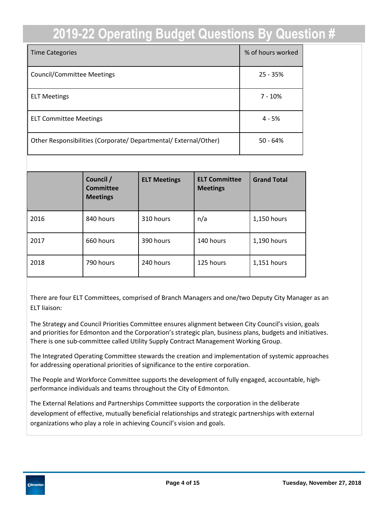| <b>Time Categories</b>                                           | % of hours worked |
|------------------------------------------------------------------|-------------------|
| <b>Council/Committee Meetings</b>                                | $25 - 35%$        |
| <b>ELT Meetings</b>                                              | $7 - 10%$         |
| <b>ELT Committee Meetings</b>                                    | $4 - 5%$          |
| Other Responsibilities (Corporate/ Departmental/ External/Other) | $50 - 64%$        |

|      | Council /<br>Committee<br><b>Meetings</b> | <b>ELT Meetings</b> | <b>ELT Committee</b><br><b>Meetings</b> | <b>Grand Total</b> |
|------|-------------------------------------------|---------------------|-----------------------------------------|--------------------|
| 2016 | 840 hours                                 | 310 hours           | n/a                                     | 1,150 hours        |
| 2017 | 660 hours                                 | 390 hours           | 140 hours                               | 1,190 hours        |
| 2018 | 790 hours                                 | 240 hours           | 125 hours                               | 1,151 hours        |

There are four ELT Committees, comprised of Branch Managers and one/two Deputy City Manager as an ELT liaison:

The Strategy and Council Priorities Committee ensures alignment between City Council's vision, goals and priorities for Edmonton and the Corporation's strategic plan, business plans, budgets and initiatives. There is one sub-committee called Utility Supply Contract Management Working Group.

The Integrated Operating Committee stewards the creation and implementation of systemic approaches for addressing operational priorities of significance to the entire corporation.

The People and Workforce Committee supports the development of fully engaged, accountable, highperformance individuals and teams throughout the City of Edmonton.

The External Relations and Partnerships Committee supports the corporation in the deliberate development of effective, mutually beneficial relationships and strategic partnerships with external organizations who play a role in achieving Council's vision and goals.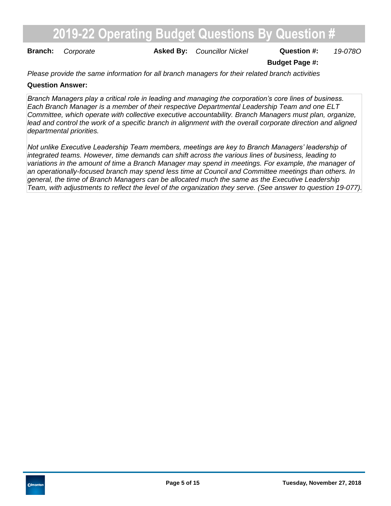**Branch:** Corporate **Asked By:** Councillor Nickel **Question #:** 19-0780

**Budget Page #:**

*Please provide the same information for all branch managers for their related branch activities*

#### **Question Answer:**

*Branch Managers play a critical role in leading and managing the corporation's core lines of business. Each Branch Manager is a member of their respective Departmental Leadership Team and one ELT Committee, which operate with collective executive accountability. Branch Managers must plan, organize,*  lead and control the work of a specific branch in alignment with the overall corporate direction and aligned *departmental priorities.* 

*Not unlike Executive Leadership Team members, meetings are key to Branch Managers' leadership of integrated teams. However, time demands can shift across the various lines of business, leading to variations in the amount of time a Branch Manager may spend in meetings. For example, the manager of an operationally-focused branch may spend less time at Council and Committee meetings than others. In general, the time of Branch Managers can be allocated much the same as the Executive Leadership Team, with adjustments to reflect the level of the organization they serve. (See answer to question 19-077).*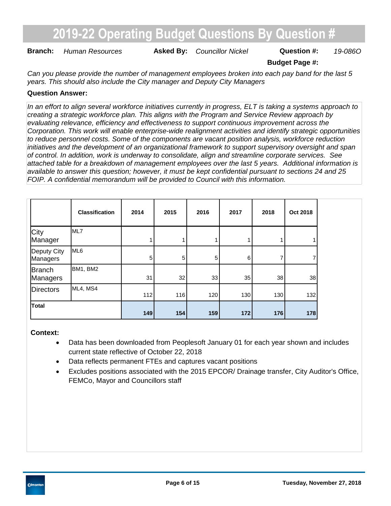**Branch:** Human Resources **Asked By:** Councillor Nickel **Question #:** 19-0860

**Budget Page #:**

*Can you please provide the number of management employees broken into each pay band for the last 5 years. This should also include the City manager and Deputy City Managers*

#### **Question Answer:**

*In an effort to align several workforce initiatives currently in progress, ELT is taking a systems approach to creating a strategic workforce plan. This aligns with the Program and Service Review approach by evaluating relevance, efficiency and effectiveness to support continuous improvement across the Corporation. This work will enable enterprise-wide realignment activities and identify strategic opportunities to reduce personnel costs. Some of the components are vacant position analysis, workforce reduction initiatives and the development of an organizational framework to support supervisory oversight and span of control. In addition, work is underway to consolidate, align and streamline corporate services. See attached table for a breakdown of management employees over the last 5 years. Additional information is available to answer this question; however, it must be kept confidential pursuant to sections 24 and 25 FOIP. A confidential memorandum will be provided to Council with this information.*

|                           | <b>Classification</b> | 2014 | 2015           | 2016           | 2017           | 2018 | Oct 2018 |
|---------------------------|-----------------------|------|----------------|----------------|----------------|------|----------|
| City<br>Manager           | <b>IML7</b>           |      |                |                |                |      |          |
| Deputy City<br>Managers   | ML <sub>6</sub>       | 5    | 5 <sup>5</sup> | 5 <sub>l</sub> | 6 <sup>1</sup> |      |          |
| <b>Branch</b><br>Managers | BM1, BM2              | 31   | 32             | 33             | 35             | 38   | 38       |
| <b>Directors</b>          | ML4, MS4              | 112  | 116            | 120            | 130            | 130  | 132      |
| Total                     |                       | 149  | 154            | 159            | 172            | 176  | 178      |

#### **Context:**

- Data has been downloaded from Peoplesoft January 01 for each year shown and includes current state reflective of October 22, 2018
- Data reflects permanent FTEs and captures vacant positions
- Excludes positions associated with the 2015 EPCOR/ Drainage transfer, City Auditor's Office, FEMCo, Mayor and Councillors staff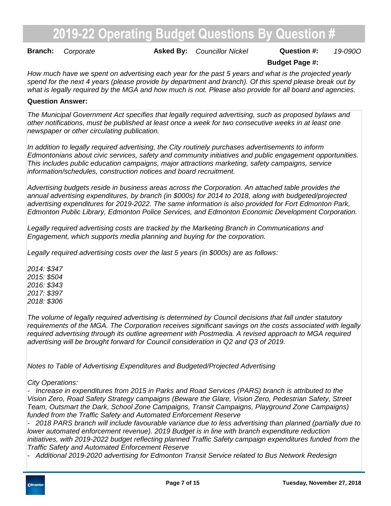**Branch:** Corporate **Asked By:** Councillor Nickel **Question #:** 19-0900

#### **Budget Page #:**

*How much have we spent on advertising each year for the past 5 years and what is the projected yearly spend for the next 4 years (please provide by department and branch). Of this spend please break out by what is legally required by the MGA and how much is not. Please also provide for all board and agencies.*

#### **Question Answer:**

*The Municipal Government Act specifies that legally required advertising, such as proposed bylaws and other notifications, must be published at least once a week for two consecutive weeks in at least one newspaper or other circulating publication.*

*In addition to legally required advertising, the City routinely purchases advertisements to inform Edmontonians about civic services, safety and community initiatives and public engagement opportunities. This includes public education campaigns, major attractions marketing, safety campaigns, service information/schedules, construction notices and board recruitment.* 

*Advertising budgets reside in business areas across the Corporation. An attached table provides the annual advertising expenditures, by branch (in \$000s) for 2014 to 2018, along with budgeted/projected advertising expenditures for 2019-2022. The same information is also provided for Fort Edmonton Park, Edmonton Public Library, Edmonton Police Services, and Edmonton Economic Development Corporation.*

*Legally required advertising costs are tracked by the Marketing Branch in Communications and Engagement, which supports media planning and buying for the corporation.*

*Legally required advertising costs over the last 5 years (in \$000s) are as follows:*

*2014: \$347 2015: \$504 2016: \$343 2017: \$397 2018: \$306*

*The volume of legally required advertising is determined by Council decisions that fall under statutory requirements of the MGA. The Corporation receives significant savings on the costs associated with legally required advertising through its outline agreement with Postmedia. A revised approach to MGA required advertising will be brought forward for Council consideration in Q2 and Q3 of 2019.*

*Notes to Table of Advertising Expenditures and Budgeted/Projected Advertising*

#### *City Operations:*

*- Increase in expenditures from 2015 in Parks and Road Services (PARS) branch is attributed to the Vision Zero, Road Safety Strategy campaigns (Beware the Glare, Vision Zero, Pedestrian Safety, Street Team, Outsmart the Dark, School Zone Campaigns, Transit Campaigns, Playground Zone Campaigns) funded from the Traffic Safety and Automated Enforcement Reserve*

*- 2018 PARS branch will include favourable variance due to less advertising than planned (partially due to lower automated enforcement revenue). 2019 Budget is in line with branch expenditure reduction initiatives, with 2019-2022 budget reflecting planned Traffic Safety campaign expenditures funded from the Traffic Safety and Automated Enforcement Reserve*

*- Additional 2019-2020 advertising for Edmonton Transit Service related to Bus Network Redesign*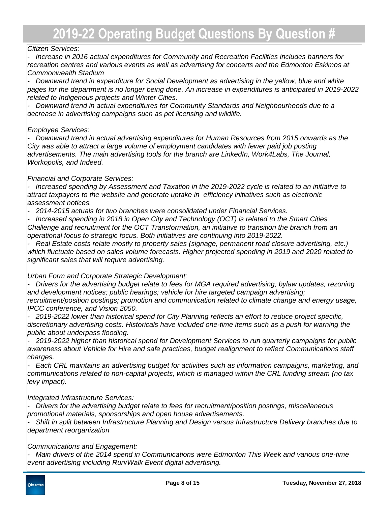#### *Citizen Services:*

*- Increase in 2016 actual expenditures for Community and Recreation Facilities includes banners for recreation centres and various events as well as advertising for concerts and the Edmonton Eskimos at Commonwealth Stadium*

*- Downward trend in expenditure for Social Development as advertising in the yellow, blue and white pages for the department is no longer being done. An increase in expenditures is anticipated in 2019-2022 related to Indigenous projects and Winter Cities.*

*- Downward trend in actual expenditures for Community Standards and Neighbourhoods due to a decrease in advertising campaigns such as pet licensing and wildlife.*

#### *Employee Services:*

*- Downward trend in actual advertising expenditures for Human Resources from 2015 onwards as the City was able to attract a large volume of employment candidates with fewer paid job posting advertisements. The main advertising tools for the branch are LinkedIn, Work4Labs, The Journal, Workopolis, and Indeed.*

#### *Financial and Corporate Services:*

*- Increased spending by Assessment and Taxation in the 2019-2022 cycle is related to an initiative to attract taxpayers to the website and generate uptake in efficiency initiatives such as electronic assessment notices.*

*- 2014-2015 actuals for two branches were consolidated under Financial Services.* 

*- Increased spending in 2018 in Open City and Technology (OCT) is related to the Smart Cities Challenge and recruitment for the OCT Transformation, an initiative to transition the branch from an operational focus to strategic focus. Both initiatives are continuing into 2019-2022.* 

*- Real Estate costs relate mostly to property sales (signage, permanent road closure advertising, etc.) which fluctuate based on sales volume forecasts. Higher projected spending in 2019 and 2020 related to significant sales that will require advertising.*

#### *Urban Form and Corporate Strategic Development:*

*- Drivers for the advertising budget relate to fees for MGA required advertising; bylaw updates; rezoning and development notices; public hearings; vehicle for hire targeted campaign advertising; recruitment/position postings; promotion and communication related to climate change and energy usage, IPCC conference, and Vision 2050.*

*- 2019-2022 lower than historical spend for City Planning reflects an effort to reduce project specific, discretionary advertising costs. Historicals have included one-time items such as a push for warning the public about underpass flooding.*

*- 2019-2022 higher than historical spend for Development Services to run quarterly campaigns for public awareness about Vehicle for Hire and safe practices, budget realignment to reflect Communications staff charges.*

*- Each CRL maintains an advertising budget for activities such as information campaigns, marketing, and communications related to non-capital projects, which is managed within the CRL funding stream (no tax levy impact).*

#### *Integrated Infrastructure Services:*

*- Drivers for the advertising budget relate to fees for recruitment/position postings, miscellaneous promotional materials, sponsorships and open house advertisements.*

*- Shift in split between Infrastructure Planning and Design versus Infrastructure Delivery branches due to department reorganization*

*Communications and Engagement:*

*- Main drivers of the 2014 spend in Communications were Edmonton This Week and various one-time event advertising including Run/Walk Event digital advertising.*

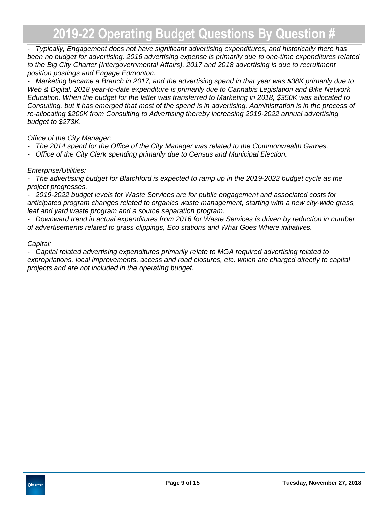*- Typically, Engagement does not have significant advertising expenditures, and historically there has been no budget for advertising. 2016 advertising expense is primarily due to one-time expenditures related to the Big City Charter (Intergovernmental Affairs). 2017 and 2018 advertising is due to recruitment position postings and Engage Edmonton.*

*- Marketing became a Branch in 2017, and the advertising spend in that year was \$38K primarily due to Web & Digital. 2018 year-to-date expenditure is primarily due to Cannabis Legislation and Bike Network Education. When the budget for the latter was transferred to Marketing in 2018, \$350K was allocated to Consulting, but it has emerged that most of the spend is in advertising. Administration is in the process of re-allocating \$200K from Consulting to Advertising thereby increasing 2019-2022 annual advertising budget to \$273K.*

*Office of the City Manager:*

- *The 2014 spend for the Office of the City Manager was related to the Commonwealth Games.*
- *Office of the City Clerk spending primarily due to Census and Municipal Election.*

#### *Enterprise/Utilities:*

*- The advertising budget for Blatchford is expected to ramp up in the 2019-2022 budget cycle as the project progresses.*

*- 2019-2022 budget levels for Waste Services are for public engagement and associated costs for anticipated program changes related to organics waste management, starting with a new city-wide grass, leaf and yard waste program and a source separation program.*

*- Downward trend in actual expenditures from 2016 for Waste Services is driven by reduction in number of advertisements related to grass clippings, Eco stations and What Goes Where initiatives.*

#### *Capital:*

*- Capital related advertising expenditures primarily relate to MGA required advertising related to expropriations, local improvements, access and road closures, etc. which are charged directly to capital projects and are not included in the operating budget.*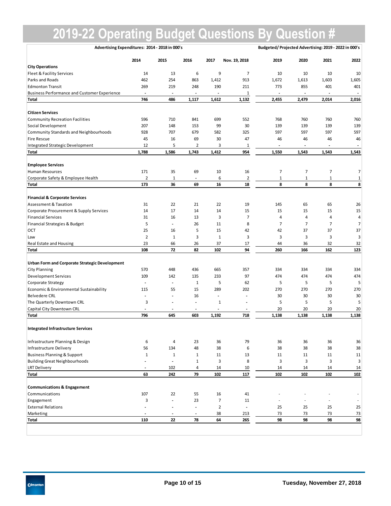| Advertising Expenditures: 2014 - 2018 in 000's      |                          |                          |                          |                          |                              | Budgeted/Projected Advertising: 2019 - 2022 in 000's |                |                          |                          |
|-----------------------------------------------------|--------------------------|--------------------------|--------------------------|--------------------------|------------------------------|------------------------------------------------------|----------------|--------------------------|--------------------------|
|                                                     | 2014                     | 2015                     | 2016                     | 2017                     | Nov. 19, 2018                | 2019                                                 | 2020           | 2021                     | 2022                     |
| <b>City Operations</b>                              |                          |                          |                          |                          |                              |                                                      |                |                          |                          |
| Fleet & Facility Services                           | 14                       | 13                       | 6                        | 9                        | 7                            | 10                                                   | 10             | 10                       | 10                       |
| Parks and Roads                                     | 462                      | 254                      | 863                      | 1,412                    | 913                          | 1,672                                                | 1,613          | 1,603                    | 1,605                    |
| <b>Edmonton Transit</b>                             | 269                      | 219                      | 248                      | 190                      | 211                          | 773                                                  | 855            | 401                      | 401                      |
| <b>Business Performance and Customer Experience</b> | $\overline{\phantom{a}}$ | $\overline{\phantom{a}}$ | $\overline{a}$           | $\overline{\phantom{a}}$ | $\mathbf 1$                  | $\overline{\phantom{a}}$                             |                | $\overline{\phantom{a}}$ | $\overline{\phantom{a}}$ |
| Total                                               | 746                      | 486                      | 1,117                    | 1,612                    | 1,132                        | 2,455                                                | 2,479          | 2,014                    | 2,016                    |
| <b>Citizen Services</b>                             |                          |                          |                          |                          |                              |                                                      |                |                          |                          |
| <b>Community Recreation Facilities</b>              | 596                      | 710                      | 841                      | 699                      | 552                          | 768                                                  | 760            | 760                      | 760                      |
| Social Development                                  | 207                      | 148                      | 153                      | 99                       | 30                           | 139                                                  | 139            | 139                      | 139                      |
| <b>Community Standards and Neighbourhoods</b>       | 928                      | 707                      | 679                      | 582                      | 325                          | 597                                                  | 597            | 597                      | 597                      |
| <b>Fire Rescue</b>                                  | 45                       | 16                       | 69                       | 30                       | 47                           | 46                                                   | 46             | 46                       | 46                       |
| Integrated Strategic Development                    | 12                       | 5                        | 2                        | 3                        | 1                            | $\overline{\phantom{a}}$                             |                | $\overline{\phantom{a}}$ |                          |
| <b>Total</b>                                        | 1,788                    | 1,586                    | 1,743                    | 1,412                    | 954                          | 1,550                                                | 1,543          | 1,543                    | 1,543                    |
|                                                     |                          |                          |                          |                          |                              |                                                      |                |                          |                          |
| <b>Employee Services</b>                            |                          |                          |                          |                          |                              |                                                      |                |                          |                          |
| Human Resources                                     | 171                      | 35                       | 69                       | 10                       | 16                           | $\overline{7}$                                       | $\overline{7}$ | $\overline{7}$           | $\overline{7}$           |
| Corporate Safety & Employee Health                  | $\overline{2}$           | $\mathbf 1$              | $\overline{\phantom{a}}$ | 6                        | $\overline{2}$               | $\mathbf 1$                                          | $\mathbf 1$    | $\mathbf 1$              | $\mathbf 1$              |
| <b>Total</b>                                        | 173                      | 36                       | 69                       | 16                       | 18                           | 8                                                    | 8              | 8                        | 8                        |
| <b>Financial &amp; Corporate Services</b>           |                          |                          |                          |                          |                              |                                                      |                |                          |                          |
| <b>Assessment &amp; Taxation</b>                    | 31                       | 22                       | 21                       | 22                       | 19                           | 145                                                  | 65             | 65                       | 26                       |
| Corporate Procurement & Supply Services             | 14                       | 17                       | 14                       | 14                       | 15                           | 15                                                   | 15             | 15                       | 15                       |
| <b>Financial Services</b>                           | 31                       | 16                       | 13                       | 3                        | $\overline{7}$               | $\sqrt{4}$                                           | $\overline{4}$ | 4                        | $\overline{4}$           |
| Financial Strategies & Budget                       | 5                        | $\overline{\phantom{a}}$ | 26                       | 11                       | 8                            | $\overline{7}$                                       | 7              | 7                        | 7                        |
| OCT                                                 | 25                       | 16                       | 5                        | 15                       | 42                           | 42                                                   | 37             | 37                       | 37                       |
| Law                                                 | $\overline{2}$           | $\mathbf{1}$             | 3                        | $\mathbf 1$              | 3                            | 3                                                    | 3              | 3                        | 3                        |
| Real Estate and Housing                             | 23                       | 66                       | 26                       | 37                       | 17                           | 44                                                   | 36             | 32                       | 32                       |
| <b>Total</b>                                        | 108                      | 72                       | 82                       | 102                      | 94                           | 260                                                  | 166            | 162                      | 123                      |
|                                                     |                          |                          |                          |                          |                              |                                                      |                |                          |                          |
| Urban Form and Corporate Strategic Development      |                          |                          |                          |                          |                              |                                                      |                |                          |                          |
| <b>City Planning</b>                                | 570                      | 448                      | 436                      | 665                      | 357                          | 334                                                  | 334            | 334                      | 334                      |
| <b>Development Services</b>                         | 109                      | 142                      | 135                      | 233                      | 97                           | 474                                                  | 474            | 474                      | 474                      |
| Corporate Strategy                                  | $\overline{\phantom{a}}$ | $\overline{\phantom{a}}$ | 1                        | 5                        | 62                           | 5                                                    | 5              | 5                        | 5                        |
| Economic & Environmental Sustainability             | 115                      | 55                       | 15                       | 289                      | 202                          | 270                                                  | 270            | 270                      | 270                      |
| <b>Belvedere CRL</b>                                | $\overline{\phantom{a}}$ | $\centerdot$             | 16                       | $\overline{\phantom{a}}$ | $\qquad \qquad \blacksquare$ | 30                                                   | 30             | 30                       | 30                       |
| The Quarterly Downtown CRL                          | 3                        | ٠                        | $\overline{\phantom{a}}$ | 1                        |                              | 5                                                    | 5              | 5                        | 5                        |
| Capital City Downtown CRL                           | $\overline{\phantom{a}}$ | $\overline{\phantom{a}}$ | $\overline{\phantom{a}}$ | $\overline{\phantom{a}}$ |                              | 20                                                   | 20             | 20                       | 20                       |
| <b>Total</b>                                        | 796                      | 645                      | 603                      | 1,192                    | 718                          | 1,138                                                | 1,138          | 1,138                    | 1,138                    |
| <b>Integrated Infrastructure Services</b>           |                          |                          |                          |                          |                              |                                                      |                |                          |                          |
| Infrastructure Planning & Design                    | 6                        | 4                        | 23                       | 36                       | 79                           | 36                                                   | 36             | 36                       | 36                       |
| Infrastructure Delivery                             | 56                       | 134                      | 48                       | 38                       | 6                            | 38                                                   | 38             | 38                       | 38                       |
| <b>Business Planning &amp; Support</b>              | $\mathbf 1$              | $\mathbf{1}$             | $\mathbf{1}$             | 11                       | 13                           | 11                                                   | 11             | 11                       | 11                       |
| <b>Building Great Neighbourhoods</b>                |                          | $\overline{\phantom{a}}$ | $\mathbf{1}$             | 3                        | 8                            | 3                                                    | 3              | 3                        | 3                        |
| <b>LRT Delivery</b>                                 | $\overline{\phantom{a}}$ | 102                      | 4                        | 14                       | 10                           | 14                                                   | 14             | 14                       | 14                       |
| <b>Total</b>                                        | 63                       | 242                      | 79                       | 102                      | 117                          | 102                                                  | 102            | 102                      | 102                      |
|                                                     |                          |                          |                          |                          |                              |                                                      |                |                          |                          |
| <b>Communications &amp; Engagement</b>              |                          |                          |                          |                          |                              |                                                      |                |                          |                          |
| Communications                                      | 107                      | 22                       | 55                       | 16                       | 41                           |                                                      |                |                          |                          |
| Engagement                                          | 3                        | $\overline{\phantom{a}}$ | 23                       | $\overline{7}$           | 11                           |                                                      |                |                          |                          |
| <b>External Relations</b>                           |                          | ٠                        | $\overline{a}$           | $\overline{2}$           | $\ddot{\phantom{0}}$         | 25                                                   | 25             | 25                       | 25                       |
| Marketing                                           | $\overline{\phantom{a}}$ | $\overline{\phantom{a}}$ | $\overline{\phantom{a}}$ | 38                       | 213                          | 73                                                   | 73             | 73                       | 73                       |
| <b>Total</b>                                        | 110                      | 22                       | 78                       | 64                       | 265                          | 98                                                   | 98             | 98                       | 98                       |
|                                                     |                          |                          |                          |                          |                              |                                                      |                |                          |                          |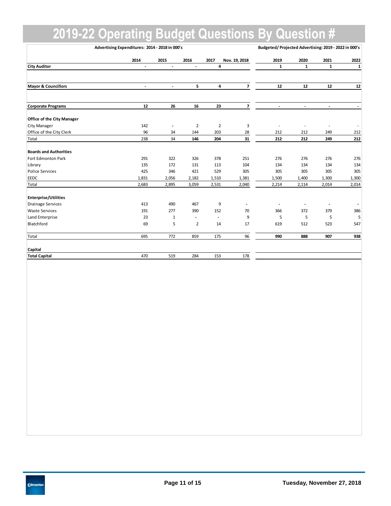|                                   | Advertising Expenditures: 2014 - 2018 in 000's |                          |                |                          |                          |              | Budgeted/Projected Advertising: 2019 - 2022 in 000's |                          |        |  |
|-----------------------------------|------------------------------------------------|--------------------------|----------------|--------------------------|--------------------------|--------------|------------------------------------------------------|--------------------------|--------|--|
|                                   | 2014                                           | 2015                     | 2016           | 2017                     | Nov. 19, 2018            | 2019         | 2020                                                 | 2021                     | 2022   |  |
| <b>City Auditor</b>               | $\overline{\phantom{a}}$                       | $\overline{\phantom{a}}$ | $\blacksquare$ | 4                        |                          | $\mathbf{1}$ | $\mathbf{1}$                                         | 1                        | 1      |  |
| <b>Mayor &amp; Councillors</b>    | $\overline{\phantom{a}}$                       | $\overline{\phantom{a}}$ | 5              | 4                        | 7                        | 12           | $12\,$                                               | 12                       | $12\,$ |  |
|                                   |                                                |                          |                |                          |                          |              |                                                      |                          |        |  |
| <b>Corporate Programs</b>         | 12                                             | 26                       | 16             | 23                       | $\overline{7}$           |              |                                                      | $\overline{a}$           |        |  |
| <b>Office of the City Manager</b> |                                                |                          |                |                          |                          |              |                                                      |                          |        |  |
| City Manager                      | 142                                            | $\overline{\phantom{a}}$ | $\mathbf 2$    | $\overline{2}$           | 3                        |              |                                                      | ٠                        |        |  |
| Office of the City Clerk          | 96                                             | 34                       | 144            | 203                      | 28                       | 212          | 212                                                  | 249                      | 212    |  |
| Total                             | 238                                            | 34                       | 146            | 204                      | 31                       | 212          | 212                                                  | 249                      | 212    |  |
| <b>Boards and Authorities</b>     |                                                |                          |                |                          |                          |              |                                                      |                          |        |  |
| Fort Edmonton Park                | 291                                            | 322                      | 326            | 378                      | 251                      | 276          | 276                                                  | 276                      | 276    |  |
| Library                           | 135                                            | 172                      | 131            | 113                      | 104                      | 134          | 134                                                  | 134                      | 134    |  |
| <b>Police Services</b>            | 425                                            | 346                      | 421            | 529                      | 305                      | 305          | 305                                                  | 305                      | 305    |  |
| EEDC                              | 1,831                                          | 2,056                    | 2,182          | 1,510                    | 1,381                    | 1,500        | 1,400                                                | 1,300                    | 1,300  |  |
| Total                             | 2,683                                          | 2,895                    | 3,059          | 2,531                    | 2,040                    | 2,214        | 2,114                                                | 2,014                    | 2,014  |  |
| <b>Enterprise/Utilities</b>       |                                                |                          |                |                          |                          |              |                                                      |                          |        |  |
| <b>Drainage Services</b>          | 413                                            | 490                      | 467            | 9                        | $\overline{\phantom{a}}$ |              |                                                      | $\overline{\phantom{a}}$ |        |  |
| <b>Waste Services</b>             | 191                                            | 277                      | 390            | 152                      | 70                       | 366          | 372                                                  | 379                      | 386    |  |
| Land Enterprise                   | 23                                             | $\mathbf{1}$             | $\blacksquare$ | $\overline{\phantom{a}}$ | 9                        | 5            | 5                                                    | 5                        | 5      |  |
| Blatchford                        | 69                                             | 5                        | $\overline{2}$ | 14                       | 17                       | 619          | 512                                                  | 523                      | 547    |  |
| Total                             | 695                                            | 772                      | 859            | 175                      | 96                       | 990          | 888                                                  | 907                      | 938    |  |
| Capital                           |                                                |                          |                |                          |                          |              |                                                      |                          |        |  |
| <b>Total Capital</b>              | 470                                            | 519                      | 284            | 153                      | 178                      |              |                                                      |                          |        |  |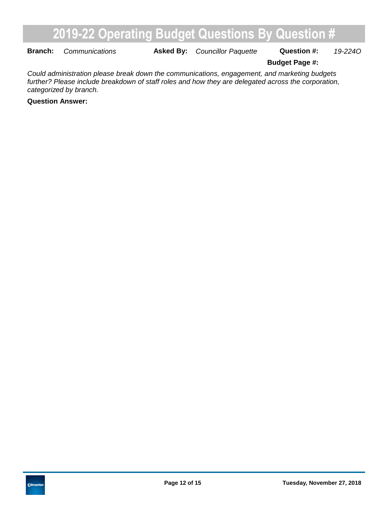**Branch:** Communications **Asked By:** Councillor Paquette Question #: 19-2240

**Budget Page #:**

*Could administration please break down the communications, engagement, and marketing budgets further? Please include breakdown of staff roles and how they are delegated across the corporation, categorized by branch.*

**Question Answer:**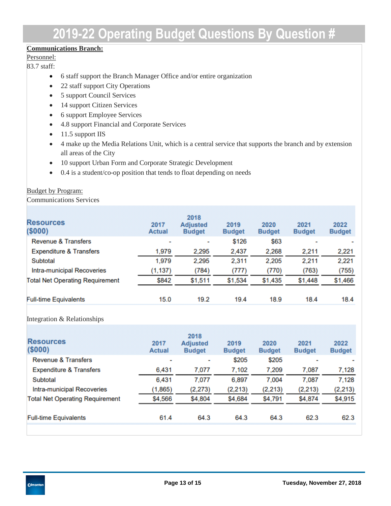#### **Communications Branch:**

#### Personnel:

83.7 staff:

- 6 staff support the Branch Manager Office and/or entire organization
- 22 staff support City Operations
- 5 support Council Services
- 14 support Citizen Services
- 6 support Employee Services
- 4.8 support Financial and Corporate Services
- $\bullet$  11.5 support IIS
- 4 make up the Media Relations Unit, which is a central service that supports the branch and by extension all areas of the City
- 10 support Urban Form and Corporate Strategic Development
- 0.4 is a student/co-op position that tends to float depending on needs

#### **Budget by Program:**

Communications Services

| <b>Resources</b><br>(\$000)            | 2017<br><b>Actual</b> | 2018<br><b>Adjusted</b><br><b>Budget</b> | 2019<br><b>Budget</b> | 2020<br><b>Budget</b> | 2021<br><b>Budget</b> | 2022<br><b>Budget</b> |
|----------------------------------------|-----------------------|------------------------------------------|-----------------------|-----------------------|-----------------------|-----------------------|
| <b>Revenue &amp; Transfers</b>         | ٠                     | ٠                                        | \$126                 | \$63                  |                       |                       |
| <b>Expenditure &amp; Transfers</b>     | 1,979                 | 2,295                                    | 2,437                 | 2,268                 | 2,211                 | 2,221                 |
| Subtotal                               | 1,979                 | 2,295                                    | 2,311                 | 2,205                 | 2,211                 | 2,221                 |
| Intra-municipal Recoveries             | (1, 137)              | (784)                                    | (777)                 | (770)                 | (763)                 | (755)                 |
| <b>Total Net Operating Requirement</b> | \$842                 | \$1,511                                  | \$1,534               | \$1,435               | \$1,448               | \$1,466               |
| <b>Full-time Equivalents</b>           | 15.0                  | 19.2                                     | 19.4                  | 18.9                  | 18.4                  | 18.4                  |

#### Integration & Relationships

| <b>Resources</b><br>(\$000)            | 2017<br><b>Actual</b> | 2018<br><b>Adjusted</b><br><b>Budget</b> | 2019<br><b>Budget</b> | 2020<br><b>Budget</b> | 2021<br><b>Budget</b> | 2022<br><b>Budget</b> |
|----------------------------------------|-----------------------|------------------------------------------|-----------------------|-----------------------|-----------------------|-----------------------|
| <b>Revenue &amp; Transfers</b>         | ٠                     | $\overline{\phantom{a}}$                 | \$205                 | \$205                 | -                     |                       |
| <b>Expenditure &amp; Transfers</b>     | 6,431                 | 7,077                                    | 7,102                 | 7,209                 | 7,087                 | 7,128                 |
| Subtotal                               | 6.431                 | 7,077                                    | 6,897                 | 7.004                 | 7,087                 | 7,128                 |
| Intra-municipal Recoveries             | (1,865)               | (2, 273)                                 | (2, 213)              | (2, 213)              | (2, 213)              | (2, 213)              |
| <b>Total Net Operating Requirement</b> | \$4,566               | \$4,804                                  | \$4,684               | \$4,791               | \$4,874               | \$4,915               |
|                                        |                       |                                          |                       |                       |                       |                       |
| <b>Full-time Equivalents</b>           | 61.4                  | 64.3                                     | 64.3                  | 64.3                  | 62.3                  | 62.3                  |
|                                        |                       |                                          |                       |                       |                       |                       |

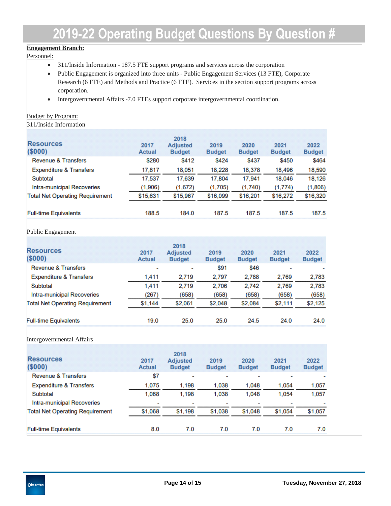#### **Engagement Branch:**

Personnel:

- 311/Inside Information 187.5 FTE support programs and services across the corporation
- Public Engagement is organized into three units Public Engagement Services (13 FTE), Corporate Research (6 FTE) and Methods and Practice (6 FTE). Services in the section support programs across corporation.
- Intergovernmental Affairs -7.0 FTEs support corporate intergovernmental coordination.

#### Budget by Program:

311/Inside Information

| <b>Resources</b><br>(\$000)            | 2017<br><b>Actual</b> | 2018<br><b>Adjusted</b><br><b>Budget</b> | 2019<br><b>Budget</b> | 2020<br><b>Budget</b> | 2021<br><b>Budget</b> | 2022<br><b>Budget</b> |
|----------------------------------------|-----------------------|------------------------------------------|-----------------------|-----------------------|-----------------------|-----------------------|
| <b>Revenue &amp; Transfers</b>         | \$280                 | \$412                                    | \$424                 | \$437                 | \$450                 | \$464                 |
| <b>Expenditure &amp; Transfers</b>     | 17,817                | 18,051                                   | 18,228                | 18,378                | 18,496                | 18,590                |
| Subtotal                               | 17,537                | 17.639                                   | 17.804                | 17.941                | 18.046                | 18,126                |
| Intra-municipal Recoveries             | (1,906)               | (1,672)                                  | (1,705)               | (1,740)               | (1, 774)              | (1,806)               |
| <b>Total Net Operating Requirement</b> | \$15,631              | \$15,967                                 | \$16,099              | \$16,201              | \$16,272              | \$16,320              |
| <b>Full-time Equivalents</b>           | 188.5                 | 184.0                                    | 187.5                 | 187.5                 | 187.5                 | 187.5                 |

#### Public Engagement

| <b>Resources</b><br>(\$000)            | 2017<br><b>Actual</b> | 2018<br><b>Adjusted</b><br><b>Budget</b> | 2019<br><b>Budget</b> | 2020<br><b>Budget</b> | 2021<br><b>Budget</b> | 2022<br><b>Budget</b> |
|----------------------------------------|-----------------------|------------------------------------------|-----------------------|-----------------------|-----------------------|-----------------------|
| <b>Revenue &amp; Transfers</b>         | ٠                     | $\blacksquare$                           | \$91                  | <b>\$46</b>           |                       |                       |
| <b>Expenditure &amp; Transfers</b>     | 1,411                 | 2.719                                    | 2.797                 | 2.788                 | 2.769                 | 2.783                 |
| Subtotal                               | 1,411                 | 2.719                                    | 2,706                 | 2,742                 | 2,769                 | 2,783                 |
| Intra-municipal Recoveries             | (267)                 | (658)                                    | (658)                 | (658)                 | (658)                 | (658)                 |
| <b>Total Net Operating Requirement</b> | \$1,144               | \$2,061                                  | \$2,048               | \$2,084               | \$2,111               | \$2,125               |
| <b>Full-time Equivalents</b>           | 19.0                  | 25.0                                     | 25.0                  | 24.5                  | 24.0                  | 24.0                  |

#### Intergovernmental Affairs

| <b>Resources</b><br>(\$000)            | 2017<br><b>Actual</b> | 2018<br><b>Adjusted</b><br><b>Budget</b> | 2019<br><b>Budget</b> | 2020<br><b>Budget</b> | 2021<br><b>Budget</b> | 2022<br><b>Budget</b> |
|----------------------------------------|-----------------------|------------------------------------------|-----------------------|-----------------------|-----------------------|-----------------------|
| <b>Revenue &amp; Transfers</b>         | \$7                   |                                          |                       |                       |                       |                       |
| <b>Expenditure &amp; Transfers</b>     | 1.075                 | 1,198                                    | 1,038                 | 1,048                 | 1.054                 | 1,057                 |
| Subtotal                               | 1.068                 | 1.198                                    | 1.038                 | 1.048                 | 1.054                 | 1,057                 |
| Intra-municipal Recoveries             |                       | -                                        |                       |                       |                       |                       |
| <b>Total Net Operating Requirement</b> | \$1,068               | \$1,198                                  | \$1,038               | \$1,048               | \$1,054               | \$1,057               |
|                                        |                       |                                          |                       |                       |                       |                       |
| <b>Full-time Equivalents</b>           | 8.0                   | 7.0                                      | 7.0                   | 7.0                   | 7.0                   | 7.0                   |